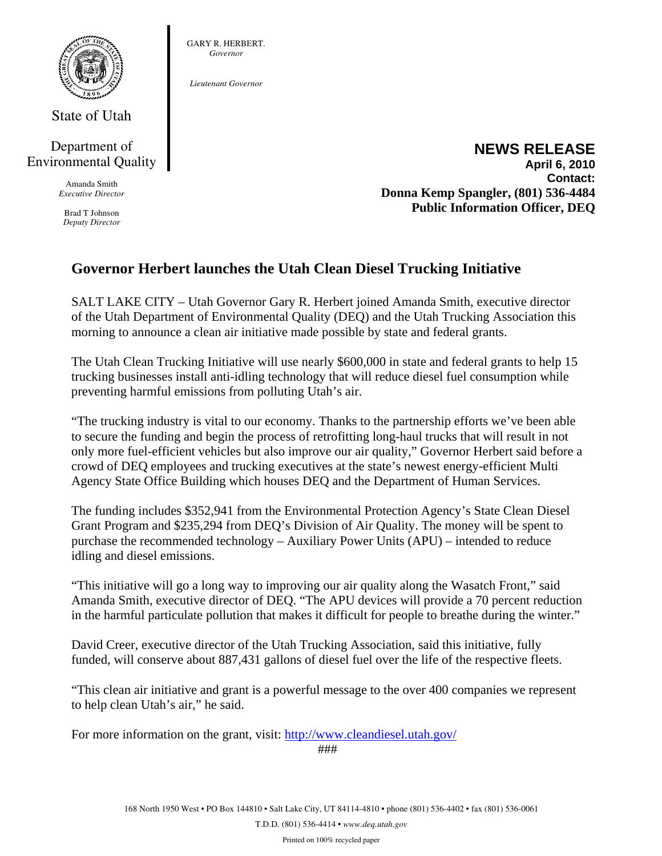

State of Utah

### Department of Environmental Quality

Amanda Smith *Executive Director* 

Brad T Johnson *Deputy Director* 

#### GARY R. HERBERT. *Governor*

*Lieutenant Governor* 

#### **NEWS RELEASE April 6, 2010 Contact: Donna Kemp Spangler, (801) 536-4484 Public Information Officer, DEQ**

## **Governor Herbert launches the Utah Clean Diesel Trucking Initiative**

SALT LAKE CITY – Utah Governor Gary R. Herbert joined Amanda Smith, executive director of the Utah Department of Environmental Quality (DEQ) and the Utah Trucking Association this morning to announce a clean air initiative made possible by state and federal grants.

The Utah Clean Trucking Initiative will use nearly \$600,000 in state and federal grants to help 15 trucking businesses install anti-idling technology that will reduce diesel fuel consumption while preventing harmful emissions from polluting Utah's air.

"The trucking industry is vital to our economy. Thanks to the partnership efforts we've been able to secure the funding and begin the process of retrofitting long-haul trucks that will result in not only more fuel-efficient vehicles but also improve our air quality," Governor Herbert said before a crowd of DEQ employees and trucking executives at the state's newest energy-efficient Multi Agency State Office Building which houses DEQ and the Department of Human Services.

The funding includes \$352,941 from the Environmental Protection Agency's State Clean Diesel Grant Program and \$235,294 from DEQ's Division of Air Quality. The money will be spent to purchase the recommended technology – Auxiliary Power Units (APU) – intended to reduce idling and diesel emissions.

"This initiative will go a long way to improving our air quality along the Wasatch Front," said Amanda Smith, executive director of DEQ. "The APU devices will provide a 70 percent reduction in the harmful particulate pollution that makes it difficult for people to breathe during the winter."

David Creer, executive director of the Utah Trucking Association, said this initiative, fully funded, will conserve about 887,431 gallons of diesel fuel over the life of the respective fleets.

"This clean air initiative and grant is a powerful message to the over 400 companies we represent to help clean Utah's air," he said.

For more information on the grant, visit: http://www.cleandiesel.utah.gov/

###